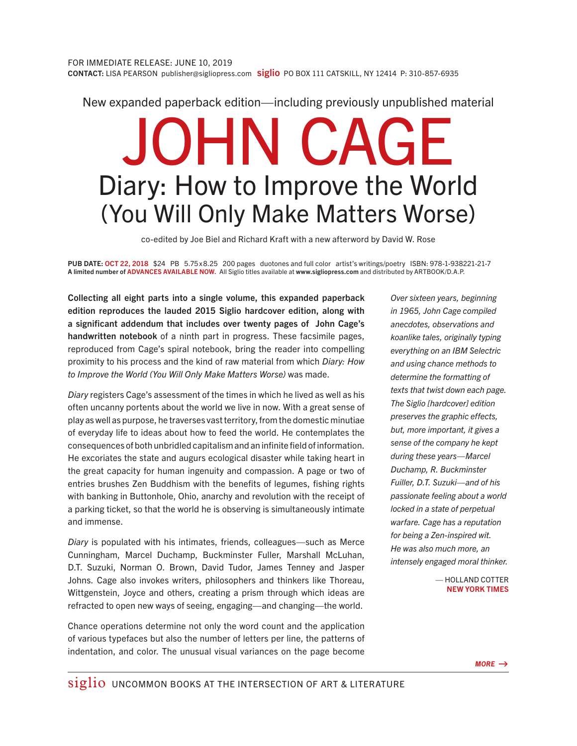New expanded paperback edition—including previously unpublished material

## JOHN CAGE Diary: How to Improve the World (You Will Only Make Matters Worse)

co-edited by Joe Biel and Richard Kraft with a new afterword by David W. Rose

PUB DATE: OCT 22, 2018 \$24 PB 5.75 x 8.25 200 pages duotones and full color artist's writings/poetry ISBN: 978-1-938221-21-7 A limited number of ADVANCES AVAILABLE NOW. All Siglio titles available at www.sigliopress.com and distributed by ARTBOOK/D.A.P.

Collecting all eight parts into a single volume, this expanded paperback edition reproduces the lauded 2015 Siglio hardcover edition, along with a significant addendum that includes over twenty pages of John Cage's handwritten notebook of a ninth part in progress. These facsimile pages, reproduced from Cage's spiral notebook, bring the reader into compelling proximity to his process and the kind of raw material from which *Diary: How to Improve the World (You Will Only Make Matters Worse)* was made.

*Diary* registers Cage's assessment of the times in which he lived as well as his often uncanny portents about the world we live in now. With a great sense of play as well as purpose, he traverses vast territory, from the domestic minutiae of everyday life to ideas about how to feed the world. He contemplates the consequences of both unbridled capitalism and an infinite field of information. He excoriates the state and augurs ecological disaster while taking heart in the great capacity for human ingenuity and compassion. A page or two of entries brushes Zen Buddhism with the benefits of legumes, fishing rights with banking in Buttonhole, Ohio, anarchy and revolution with the receipt of a parking ticket, so that the world he is observing is simultaneously intimate and immense.

*Diary* is populated with his intimates, friends, colleagues—such as Merce Cunningham, Marcel Duchamp, Buckminster Fuller, Marshall McLuhan, D.T. Suzuki, Norman O. Brown, David Tudor, James Tenney and Jasper Johns. Cage also invokes writers, philosophers and thinkers like Thoreau, Wittgenstein, Joyce and others, creating a prism through which ideas are refracted to open new ways of seeing, engaging—and changing—the world.

Chance operations determine not only the word count and the application of various typefaces but also the number of letters per line, the patterns of indentation, and color. The unusual visual variances on the page become

*Over sixteen years, beginning in 1965, John Cage compiled anecdotes, observations and koanlike tales, originally typing everything on an IBM Selectric and using chance methods to determine the formatting of texts that twist down each page. The Siglio [hardcover] edition preserves the graphic effects, but, more important, it gives a sense of the company he kept during these years—Marcel Duchamp, R. Buckminster Fuiller, D.T. Suzuki—and of his passionate feeling about a world locked in a state of perpetual warfare. Cage has a reputation for being a Zen-inspired wit. He was also much more, an intensely engaged moral thinker.*

> — HOLLAND COTTER NEW YORK TIMES